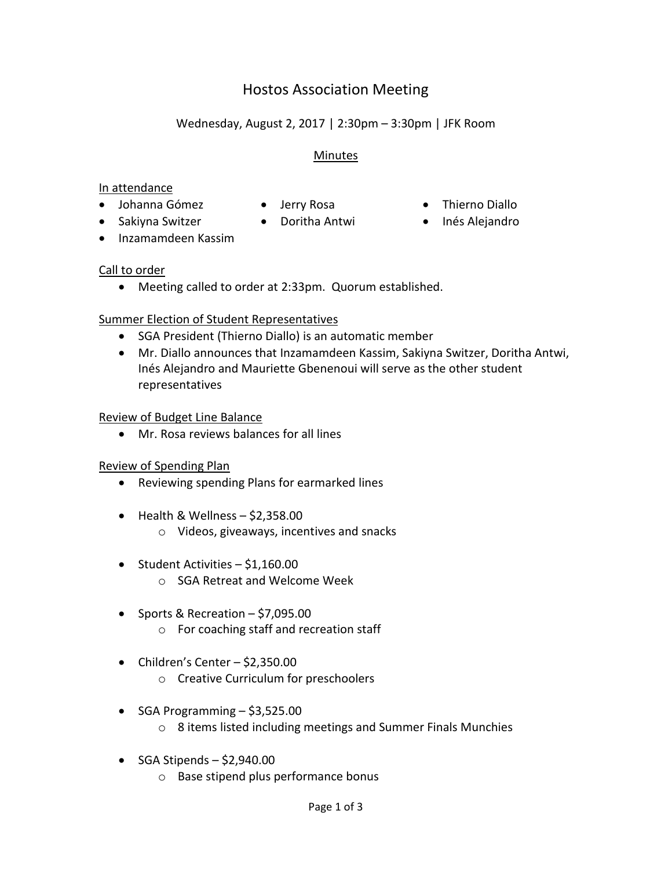# Hostos Association Meeting

## Wednesday, August 2, 2017 | 2:30pm – 3:30pm | JFK Room

#### **Minutes**

#### In attendance

- Johanna Gómez Jerry Rosa Thierno Diallo
	-
- 
- Sakiyna Switzer Doritha Antwi Inés Alejandro
- Inzamamdeen Kassim

#### Call to order

Meeting called to order at 2:33pm. Quorum established.

#### Summer Election of Student Representatives

- SGA President (Thierno Diallo) is an automatic member
- Mr. Diallo announces that Inzamamdeen Kassim, Sakiyna Switzer, Doritha Antwi, Inés Alejandro and Mauriette Gbenenoui will serve as the other student representatives

#### Review of Budget Line Balance

Mr. Rosa reviews balances for all lines

#### Review of Spending Plan

- Reviewing spending Plans for earmarked lines
- $\bullet$  Health & Wellness  $-$  \$2,358.00
	- o Videos, giveaways, incentives and snacks
- Student Activities \$1,160.00
	- o SGA Retreat and Welcome Week
- $\bullet$  Sports & Recreation \$7,095.00
	- o For coaching staff and recreation staff
- Children's Center  $-$  \$2,350.00
	- o Creative Curriculum for preschoolers
- $\bullet$  SGA Programming  $-$  \$3,525.00
	- o 8 items listed including meetings and Summer Finals Munchies
- $\bullet$  SGA Stipends \$2,940.00
	- o Base stipend plus performance bonus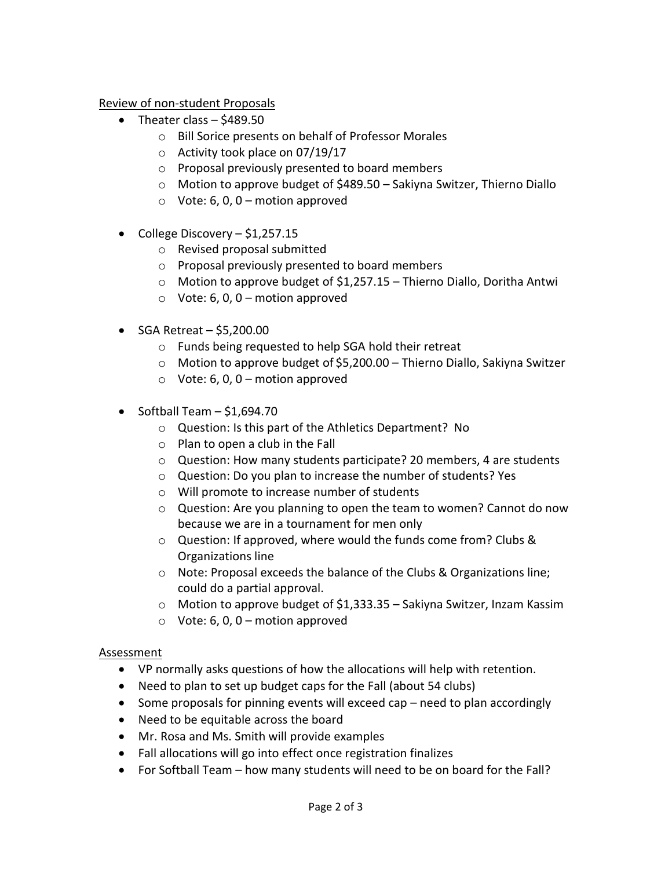Review of non-student Proposals

- Theater class  $-$  \$489.50
	- o Bill Sorice presents on behalf of Professor Morales
	- o Activity took place on 07/19/17
	- o Proposal previously presented to board members
	- o Motion to approve budget of \$489.50 Sakiyna Switzer, Thierno Diallo
	- $\circ$  Vote: 6, 0, 0 motion approved
- College Discovery  $$1,257.15$ 
	- o Revised proposal submitted
	- o Proposal previously presented to board members
	- o Motion to approve budget of \$1,257.15 Thierno Diallo, Doritha Antwi
	- $\circ$  Vote: 6, 0, 0 motion approved
- $\bullet$  SGA Retreat \$5,200.00
	- o Funds being requested to help SGA hold their retreat
	- o Motion to approve budget of \$5,200.00 Thierno Diallo, Sakiyna Switzer
	- $\circ$  Vote: 6, 0, 0 motion approved
- $\bullet$  Softball Team  $-$  \$1,694.70
	- o Question: Is this part of the Athletics Department? No
	- $\circ$  Plan to open a club in the Fall
	- o Question: How many students participate? 20 members, 4 are students
	- o Question: Do you plan to increase the number of students? Yes
	- o Will promote to increase number of students
	- o Question: Are you planning to open the team to women? Cannot do now because we are in a tournament for men only
	- o Question: If approved, where would the funds come from? Clubs & Organizations line
	- o Note: Proposal exceeds the balance of the Clubs & Organizations line; could do a partial approval.
	- o Motion to approve budget of \$1,333.35 Sakiyna Switzer, Inzam Kassim
	- $\circ$  Vote: 6, 0, 0 motion approved

#### Assessment

- VP normally asks questions of how the allocations will help with retention.
- Need to plan to set up budget caps for the Fall (about 54 clubs)
- Some proposals for pinning events will exceed cap need to plan accordingly
- Need to be equitable across the board
- Mr. Rosa and Ms. Smith will provide examples
- Fall allocations will go into effect once registration finalizes
- For Softball Team how many students will need to be on board for the Fall?